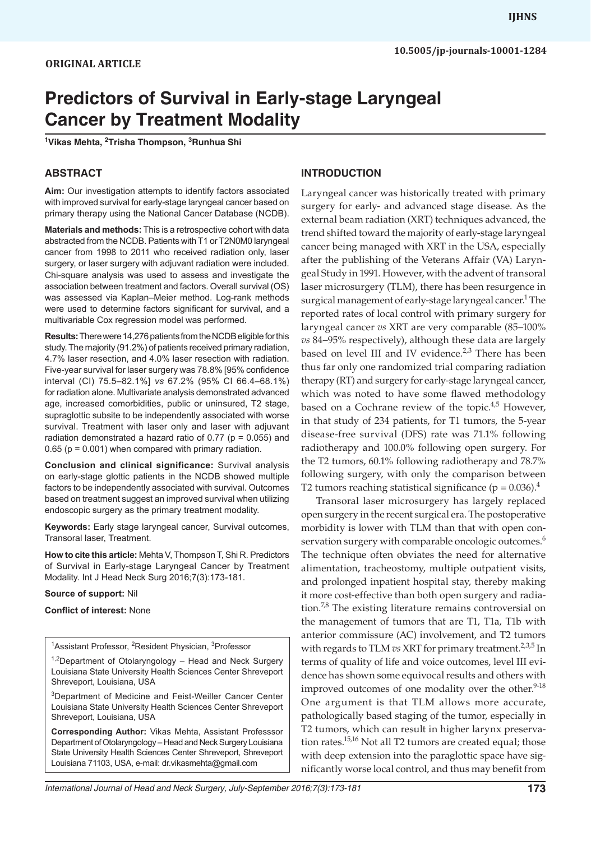# **Predictors of Survival in Early-stage Laryngeal Cancer by Treatment Modality**

**1 Vikas Mehta, 2 Trisha Thompson, 3 Runhua Shi** 

#### **ABSTRACT**

**Aim:** Our investigation attempts to identify factors associated with improved survival for early-stage laryngeal cancer based on primary therapy using the National Cancer Database (NCDB).

**Materials and methods:** This is a retrospective cohort with data abstracted from the NCDB. Patients with T1 or T2N0M0 laryngeal cancer from 1998 to 2011 who received radiation only, laser surgery, or laser surgery with adjuvant radiation were included. Chi-square analysis was used to assess and investigate the association between treatment and factors. Overall survival (OS) was assessed via Kaplan–Meier method. Log-rank methods were used to determine factors significant for survival, and a multivariable Cox regression model was performed.

**Results:** There were 14,276 patients from the NCDB eligible for this study. The majority (91.2%) of patients received primary radiation, 4.7% laser resection, and 4.0% laser resection with radiation. Five-year survival for laser surgery was 78.8% [95% confidence interval (CI) 75.5–82.1%] *vs* 67.2% (95% CI 66.4–68.1%) for radiation alone. Multivariate analysis demonstrated advanced age, increased comorbidities, public or uninsured, T2 stage, supraglottic subsite to be independently associated with worse survival. Treatment with laser only and laser with adjuvant radiation demonstrated a hazard ratio of  $0.77$  ( $p = 0.055$ ) and 0.65 ( $p = 0.001$ ) when compared with primary radiation.

**Conclusion and clinical significance:** Survival analysis on early-stage glottic patients in the NCDB showed multiple factors to be independently associated with survival. Outcomes based on treatment suggest an improved survival when utilizing endoscopic surgery as the primary treatment modality.

**Keywords:** Early stage laryngeal cancer, Survival outcomes, Transoral laser, Treatment.

**How to cite this article:** Mehta V, Thompson T, Shi R. Predictors of Survival in Early-stage Laryngeal Cancer by Treatment Modality. Int J Head Neck Surg 2016;7(3):173-181.

#### **Source of support:** Nil

**Conflict of interest:** None

<sup>1</sup>Assistant Professor, <sup>2</sup>Resident Physician, <sup>3</sup>Professor

<sup>1,2</sup>Department of Otolaryngology – Head and Neck Surgery Louisiana State University Health Sciences Center Shreveport Shreveport, Louisiana, USA

3Department of Medicine and Feist-Weiller Cancer Center Louisiana State University Health Sciences Center Shreveport Shreveport, Louisiana, USA

**Corresponding Author:** Vikas Mehta, Assistant Professsor Department of Otolaryngology – Head and Neck Surgery Louisiana State University Health Sciences Center Shreveport, Shreveport Louisiana 71103, USA, e-mail: dr.vikasmehta@gmail.com

#### **INTRODUCTION**

Laryngeal cancer was historically treated with primary surgery for early- and advanced stage disease. As the external beam radiation (XRT) techniques advanced, the trend shifted toward the majority of early-stage laryngeal cancer being managed with XRT in the USA, especially after the publishing of the Veterans Affair (VA) Laryngeal Study in 1991. However, with the advent of transoral laser microsurgery (TLM), there has been resurgence in surgical management of early-stage laryngeal cancer.<sup>1</sup> The reported rates of local control with primary surgery for laryngeal cancer *vs* XRT are very comparable (85–100% *vs* 84–95% respectively), although these data are largely based on level III and IV evidence. $2,3$  There has been thus far only one randomized trial comparing radiation therapy (RT) and surgery for early-stage laryngeal cancer, which was noted to have some flawed methodology based on a Cochrane review of the topic. $4.5$  However, in that study of 234 patients, for T1 tumors, the 5-year disease-free survival (DFS) rate was 71.1% following radiotherapy and 100.0% following open surgery. For the T2 tumors, 60.1% following radiotherapy and 78.7% following surgery, with only the comparison between T2 tumors reaching statistical significance ( $p = 0.036$ ).<sup>4</sup>

Transoral laser microsurgery has largely replaced open surgery in the recent surgical era. The postoperative morbidity is lower with TLM than that with open conservation surgery with comparable oncologic outcomes.<sup>6</sup> The technique often obviates the need for alternative alimentation, tracheostomy, multiple outpatient visits, and prolonged inpatient hospital stay, thereby making it more cost-effective than both open surgery and radiation.<sup>7,8</sup> The existing literature remains controversial on the management of tumors that are T1, T1a, T1b with anterior commissure (AC) involvement, and T2 tumors with regards to TLM *vs* XRT for primary treatment.<sup>2,3,5</sup> In terms of quality of life and voice outcomes, level III evidence has shown some equivocal results and others with improved outcomes of one modality over the other.<sup>9-18</sup> One argument is that TLM allows more accurate, pathologically based staging of the tumor, especially in T2 tumors, which can result in higher larynx preservation rates.<sup>15,16</sup> Not all T2 tumors are created equal; those with deep extension into the paraglottic space have significantly worse local control, and thus may benefit from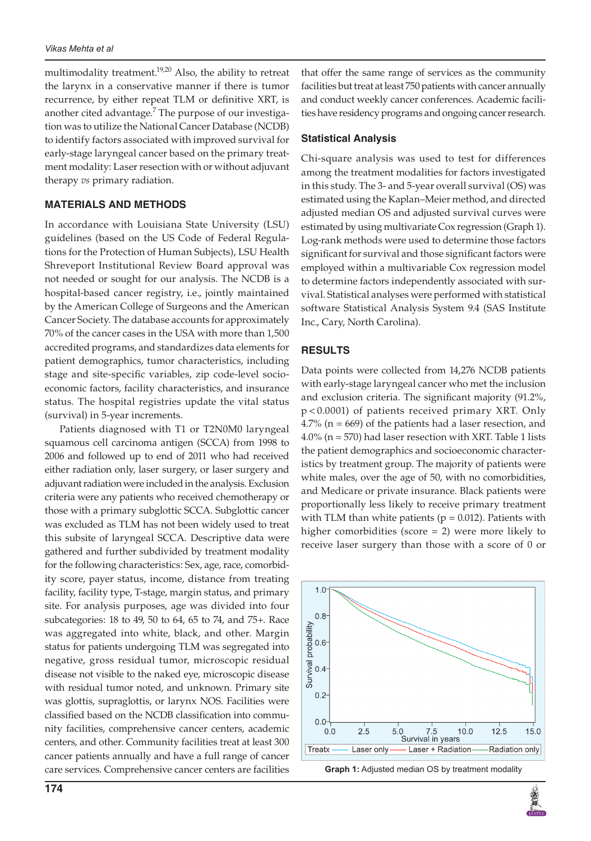multimodality treatment.<sup>19,20</sup> Also, the ability to retreat the larynx in a conservative manner if there is tumor recurrence, by either repeat TLM or definitive XRT, is another cited advantage.<sup>7</sup> The purpose of our investigation was to utilize the National Cancer Database (NCDB) to identify factors associated with improved survival for early-stage laryngeal cancer based on the primary treatment modality: Laser resection with or without adjuvant therapy *vs* primary radiation.

## **MATERIALS AND METHODS**

In accordance with Louisiana State University (LSU) guidelines (based on the US Code of Federal Regulations for the Protection of Human Subjects), LSU Health Shreveport Institutional Review Board approval was not needed or sought for our analysis. The NCDB is a hospital-based cancer registry, i.e., jointly maintained by the American College of Surgeons and the American Cancer Society. The database accounts for approximately 70% of the cancer cases in the USA with more than 1,500 accredited programs, and standardizes data elements for patient demographics, tumor characteristics, including stage and site-specific variables, zip code-level socioeconomic factors, facility characteristics, and insurance status. The hospital registries update the vital status (survival) in 5-year increments.

Patients diagnosed with T1 or T2N0M0 laryngeal squamous cell carcinoma antigen (SCCA) from 1998 to 2006 and followed up to end of 2011 who had received either radiation only, laser surgery, or laser surgery and adjuvant radiation were included in the analysis. Exclusion criteria were any patients who received chemotherapy or those with a primary subglottic SCCA. Subglottic cancer was excluded as TLM has not been widely used to treat this subsite of laryngeal SCCA. Descriptive data were gathered and further subdivided by treatment modality for the following characteristics: Sex, age, race, comorbidity score, payer status, income, distance from treating facility, facility type, T-stage, margin status, and primary site. For analysis purposes, age was divided into four subcategories: 18 to 49, 50 to 64, 65 to 74, and 75+. Race was aggregated into white, black, and other. Margin status for patients undergoing TLM was segregated into negative, gross residual tumor, microscopic residual disease not visible to the naked eye, microscopic disease with residual tumor noted, and unknown. Primary site was glottis, supraglottis, or larynx NOS. Facilities were classified based on the NCDB classification into community facilities, comprehensive cancer centers, academic centers, and other. Community facilities treat at least 300 cancer patients annually and have a full range of cancer care services. Comprehensive cancer centers are facilities

that offer the same range of services as the community facilities but treat at least 750 patients with cancer annually and conduct weekly cancer conferences. Academic facilities have residency programs and ongoing cancer research.

## **Statistical Analysis**

Chi-square analysis was used to test for differences among the treatment modalities for factors investigated in this study. The 3- and 5-year overall survival (OS) was estimated using the Kaplan–Meier method, and directed adjusted median OS and adjusted survival curves were estimated by using multivariate Cox regression (Graph 1). Log-rank methods were used to determine those factors significant for survival and those significant factors were employed within a multivariable Cox regression model to determine factors independently associated with survival. Statistical analyses were performed with statistical software Statistical Analysis System 9.4 (SAS Institute Inc., Cary, North Carolina).

# **RESULTS**

Data points were collected from 14,276 NCDB patients with early-stage laryngeal cancer who met the inclusion and exclusion criteria. The significant majority (91.2%, p < 0.0001) of patients received primary XRT. Only 4.7% ( $n = 669$ ) of the patients had a laser resection, and 4.0% (n = 570) had laser resection with XRT. Table 1 lists the patient demographics and socioeconomic characteristics by treatment group. The majority of patients were white males, over the age of 50, with no comorbidities, and Medicare or private insurance. Black patients were proportionally less likely to receive primary treatment with TLM than white patients ( $p = 0.012$ ). Patients with higher comorbidities (score = 2) were more likely to receive laser surgery than those with a score of 0 or



**Graph 1:** Adjusted median OS by treatment modality

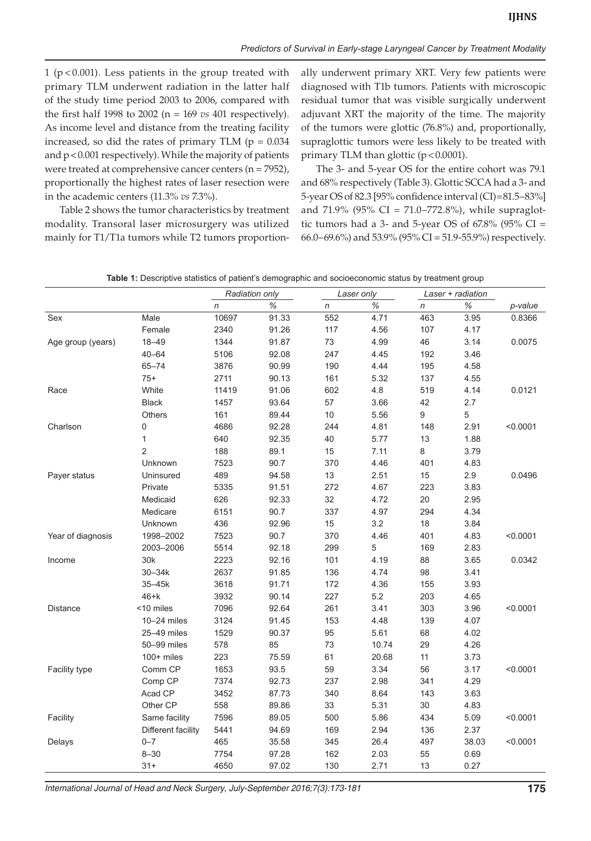1 (p < 0.001). Less patients in the group treated with primary TLM underwent radiation in the latter half of the study time period 2003 to 2006, compared with the first half 1998 to 2002 (n = 169 *vs* 401 respectively). As income level and distance from the treating facility increased, so did the rates of primary TLM ( $p = 0.034$ and p<0.001 respectively). While the majority of patients were treated at comprehensive cancer centers (n = 7952), proportionally the highest rates of laser resection were in the academic centers (11.3% *vs* 7.3%).

Table 2 shows the tumor characteristics by treatment modality. Transoral laser microsurgery was utilized mainly for T1/T1a tumors while T2 tumors proportionally underwent primary XRT. Very few patients were diagnosed with T1b tumors. Patients with microscopic residual tumor that was visible surgically underwent adjuvant XRT the majority of the time. The majority of the tumors were glottic (76.8%) and, proportionally, supraglottic tumors were less likely to be treated with primary TLM than glottic (p < 0.0001).

The 3- and 5-year OS for the entire cohort was 79.1 and 68% respectively (Table 3). Glottic SCCA had a 3- and 5-year OS of 82.3 [95% confidence interval (CI)=81.5–83%] and 71.9% (95% CI = 71.0–772.8%), while supraglottic tumors had a 3- and 5-year OS of  $67.8\%$  (95% CI = 66.0–69.6%) and 53.9% (95% CI = 51.9-55.9%) respectively.

|                   |                    | Radiation only |       | Laser only |       |                  | Laser + radiation |          |
|-------------------|--------------------|----------------|-------|------------|-------|------------------|-------------------|----------|
|                   |                    | $\sqrt{n}$     | ℅     | $\sqrt{n}$ | $\%$  | $\boldsymbol{n}$ | $\%$              | p-value  |
| Sex               | Male               | 10697          | 91.33 | 552        | 4.71  | 463              | 3.95              | 0.8366   |
|                   | Female             | 2340           | 91.26 | 117        | 4.56  | 107              | 4.17              |          |
| Age group (years) | 18-49              | 1344           | 91.87 | 73         | 4.99  | 46               | 3.14              | 0.0075   |
|                   | $40 - 64$          | 5106           | 92.08 | 247        | 4.45  | 192              | 3.46              |          |
|                   | $65 - 74$          | 3876           | 90.99 | 190        | 4.44  | 195              | 4.58              |          |
|                   | $75+$              | 2711           | 90.13 | 161        | 5.32  | 137              | 4.55              |          |
| Race              | White              | 11419          | 91.06 | 602        | 4.8   | 519              | 4.14              | 0.0121   |
|                   | <b>Black</b>       | 1457           | 93.64 | 57         | 3.66  | 42               | 2.7               |          |
|                   | Others             | 161            | 89.44 | $10$       | 5.56  | 9                | 5                 |          |
| Charlson          | 0                  | 4686           | 92.28 | 244        | 4.81  | 148              | 2.91              | < 0.0001 |
|                   | $\mathbf{1}$       | 640            | 92.35 | 40         | 5.77  | 13               | 1.88              |          |
|                   | $\overline{2}$     | 188            | 89.1  | 15         | 7.11  | 8                | 3.79              |          |
|                   | Unknown            | 7523           | 90.7  | 370        | 4.46  | 401              | 4.83              |          |
| Payer status      | Uninsured          | 489            | 94.58 | 13         | 2.51  | 15               | 2.9               | 0.0496   |
|                   | Private            | 5335           | 91.51 | 272        | 4.67  | 223              | 3.83              |          |
|                   | Medicaid           | 626            | 92.33 | 32         | 4.72  | 20               | 2.95              |          |
|                   | Medicare           | 6151           | 90.7  | 337        | 4.97  | 294              | 4.34              |          |
|                   | Unknown            | 436            | 92.96 | 15         | 3.2   | 18               | 3.84              |          |
| Year of diagnosis | 1998-2002          | 7523           | 90.7  | 370        | 4.46  | 401              | 4.83              | < 0.0001 |
|                   | 2003-2006          | 5514           | 92.18 | 299        | 5     | 169              | 2.83              |          |
| Income            | 30k                | 2223           | 92.16 | 101        | 4.19  | 88               | 3.65              | 0.0342   |
|                   | 30-34k             | 2637           | 91.85 | 136        | 4.74  | 98               | 3.41              |          |
|                   | 35-45k             | 3618           | 91.71 | 172        | 4.36  | 155              | 3.93              |          |
|                   | $46+k$             | 3932           | 90.14 | 227        | 5.2   | 203              | 4.65              |          |
| Distance          | <10 miles          | 7096           | 92.64 | 261        | 3.41  | 303              | 3.96              | < 0.0001 |
|                   | 10-24 miles        | 3124           | 91.45 | 153        | 4.48  | 139              | 4.07              |          |
|                   | 25-49 miles        | 1529           | 90.37 | 95         | 5.61  | 68               | 4.02              |          |
|                   | 50-99 miles        | 578            | 85    | 73         | 10.74 | 29               | 4.26              |          |
|                   | $100+$ miles       | 223            | 75.59 | 61         | 20.68 | 11               | 3.73              |          |
| Facility type     | Comm CP            | 1653           | 93.5  | 59         | 3.34  | 56               | 3.17              | < 0.0001 |
|                   | Comp CP            | 7374           | 92.73 | 237        | 2.98  | 341              | 4.29              |          |
|                   | Acad CP            | 3452           | 87.73 | 340        | 8.64  | 143              | 3.63              |          |
|                   | Other CP           | 558            | 89.86 | 33         | 5.31  | 30               | 4.83              |          |
| Facility          | Same facility      | 7596           | 89.05 | 500        | 5.86  | 434              | 5.09              | < 0.0001 |
|                   | Different facility | 5441           | 94.69 | 169        | 2.94  | 136              | 2.37              |          |
| Delays            | $0 - 7$            | 465            | 35.58 | 345        | 26.4  | 497              | 38.03             | < 0.0001 |
|                   | $8 - 30$           | 7754           | 97.28 | 162        | 2.03  | 55               | 0.69              |          |
|                   | $31+$              | 4650           | 97.02 | 130        | 2.71  | 13               | 0.27              |          |

|  |  | Table 1: Descriptive statistics of patient's demographic and socioeconomic status by treatment group |  |
|--|--|------------------------------------------------------------------------------------------------------|--|
|  |  |                                                                                                      |  |

*International Journal of Head and Neck Surgery, July-September 2016;7(3):173-181* **175**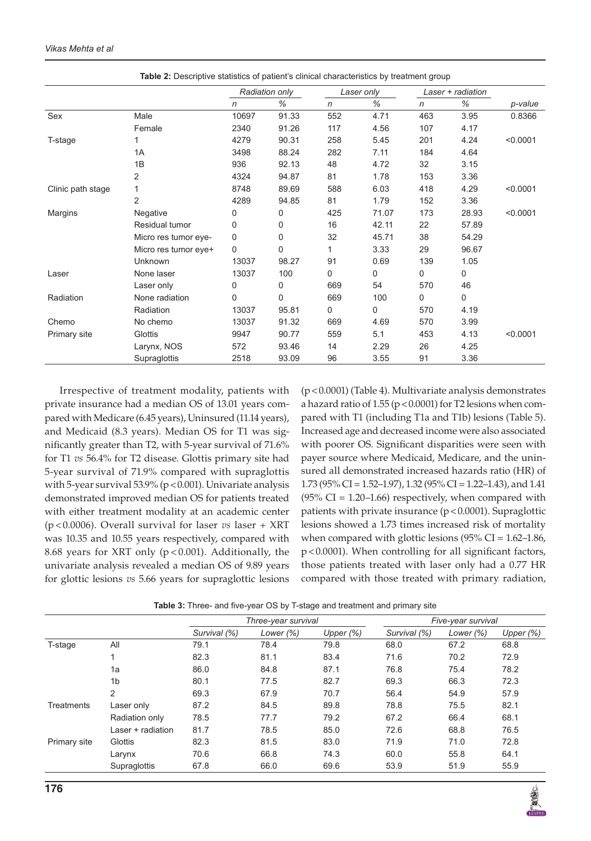|  |  |  |  | for glottic lesions vs 5.66 years for supraglottic lesions |  |
|--|--|--|--|------------------------------------------------------------|--|

|                   |                   |              | Three-year survival |              |              | Five-year survival |              |
|-------------------|-------------------|--------------|---------------------|--------------|--------------|--------------------|--------------|
|                   |                   | Survival (%) | Lower $(%)$         | Upper $(\%)$ | Survival (%) | Lower $(%)$        | Upper $(\%)$ |
| T-stage           | All               | 79.1         | 78.4                | 79.8         | 68.0         | 67.2               | 68.8         |
|                   | 1                 | 82.3         | 81.1                | 83.4         | 71.6         | 70.2               | 72.9         |
|                   | 1a                | 86.0         | 84.8                | 87.1         | 76.8         | 75.4               | 78.2         |
|                   | 1 <sub>b</sub>    | 80.1         | 77.5                | 82.7         | 69.3         | 66.3               | 72.3         |
|                   | 2                 | 69.3         | 67.9                | 70.7         | 56.4         | 54.9               | 57.9         |
| <b>Treatments</b> | Laser only        | 87.2         | 84.5                | 89.8         | 78.8         | 75.5               | 82.1         |
|                   | Radiation only    | 78.5         | 77.7                | 79.2         | 67.2         | 66.4               | 68.1         |
|                   | Laser + radiation | 81.7         | 78.5                | 85.0         | 72.6         | 68.8               | 76.5         |
| Primary site      | Glottis           | 82.3         | 81.5                | 83.0         | 71.9         | 71.0               | 72.8         |
|                   | Larynx            | 70.6         | 66.8                | 74.3         | 60.0         | 55.8               | 64.1         |

Supraglottis 67.8 66.0 69.6 53.9 51.9 55.9

|                   |                      | Radiation only |          |              | Laser only |              | Laser + radiation |          |
|-------------------|----------------------|----------------|----------|--------------|------------|--------------|-------------------|----------|
|                   |                      | n              | %        | $\mathsf{n}$ | %          | $\mathsf{n}$ | %                 | p-value  |
| Sex               | Male                 | 10697          | 91.33    | 552          | 4.71       | 463          | 3.95              | 0.8366   |
|                   | Female               | 2340           | 91.26    | 117          | 4.56       | 107          | 4.17              |          |
| T-stage           |                      | 4279           | 90.31    | 258          | 5.45       | 201          | 4.24              | < 0.0001 |
|                   | 1A                   | 3498           | 88.24    | 282          | 7.11       | 184          | 4.64              |          |
|                   | 1B                   | 936            | 92.13    | 48           | 4.72       | 32           | 3.15              |          |
|                   | 2                    | 4324           | 94.87    | 81           | 1.78       | 153          | 3.36              |          |
| Clinic path stage | 1                    | 8748           | 89.69    | 588          | 6.03       | 418          | 4.29              | < 0.0001 |
|                   | $\overline{2}$       | 4289           | 94.85    | 81           | 1.79       | 152          | 3.36              |          |
| Margins           | Negative             | 0              | 0        | 425          | 71.07      | 173          | 28.93             | < 0.0001 |
|                   | Residual tumor       | 0              | 0        | 16           | 42.11      | 22           | 57.89             |          |
|                   | Micro res tumor eye- | 0              | 0        | 32           | 45.71      | 38           | 54.29             |          |
|                   | Micro res tumor eye+ | 0              | 0        |              | 3.33       | 29           | 96.67             |          |
|                   | Unknown              | 13037          | 98.27    | 91           | 0.69       | 139          | 1.05              |          |
| Laser             | None laser           | 13037          | 100      | $\Omega$     | 0          | 0            | 0                 |          |
|                   | Laser only           | 0              | 0        | 669          | 54         | 570          | 46                |          |
| Radiation         | None radiation       | $\mathbf 0$    | $\Omega$ | 669          | 100        | 0            | 0                 |          |
|                   | Radiation            | 13037          | 95.81    | 0            | 0          | 570          | 4.19              |          |
| Chemo             | No chemo             | 13037          | 91.32    | 669          | 4.69       | 570          | 3.99              |          |
| Primary site      | Glottis              | 9947           | 90.77    | 559          | 5.1        | 453          | 4.13              | < 0.0001 |
|                   | Larynx, NOS          | 572            | 93.46    | 14           | 2.29       | 26           | 4.25              |          |
|                   | Supraglottis         | 2518           | 93.09    | 96           | 3.55       | 91           | 3.36              |          |

(p<0.0001) (Table 4). Multivariate analysis demonstrates a hazard ratio of  $1.55$  ( $p < 0.0001$ ) for T2 lesions when compared with T1 (including T1a and T1b) lesions (Table 5). Increased age and decreased income were also associated with poorer OS. Significant disparities were seen with payer source where Medicaid, Medicare, and the uninsured all demonstrated increased hazards ratio (HR) of 1.73 (95% CI = 1.52–1.97), 1.32 (95% CI = 1.22–1.43), and 1.41  $(95\% \text{ CI} = 1.20 - 1.66)$  respectively, when compared with patients with private insurance  $(p < 0.0001)$ . Supraglottic lesions showed a 1.73 times increased risk of mortality when compared with glottic lesions  $(95\% \text{ CI} = 1.62-1.86)$ , p<0.0001). When controlling for all significant factors, those patients treated with laser only had a 0.77 HR compared with those treated with primary radiation,

Irrespective of treatment modality, patients with private insurance had a median OS of 13.01 years compared with Medicare (6.45 years), Uninsured (11.14 years), and Medicaid (8.3 years). Median OS for T1 was significantly greater than T2, with 5-year survival of 71.6% for T1 *vs* 56.4% for T2 disease. Glottis primary site had 5-year survival of 71.9% compared with supraglottis with 5-year survival 53.9% (p < 0.001). Univariate analysis demonstrated improved median OS for patients treated with either treatment modality at an academic center (p<0.0006). Overall survival for laser *vs* laser + XRT was 10.35 and 10.55 years respectively, compared with 8.68 years for XRT only (p < 0.001). Additionally, the univariate analysis revealed a median OS of 9.89 years

*Vikas Mehta et al*

**Table 2:** Descriptive statistics of patient's clinical characteristics by treatment group

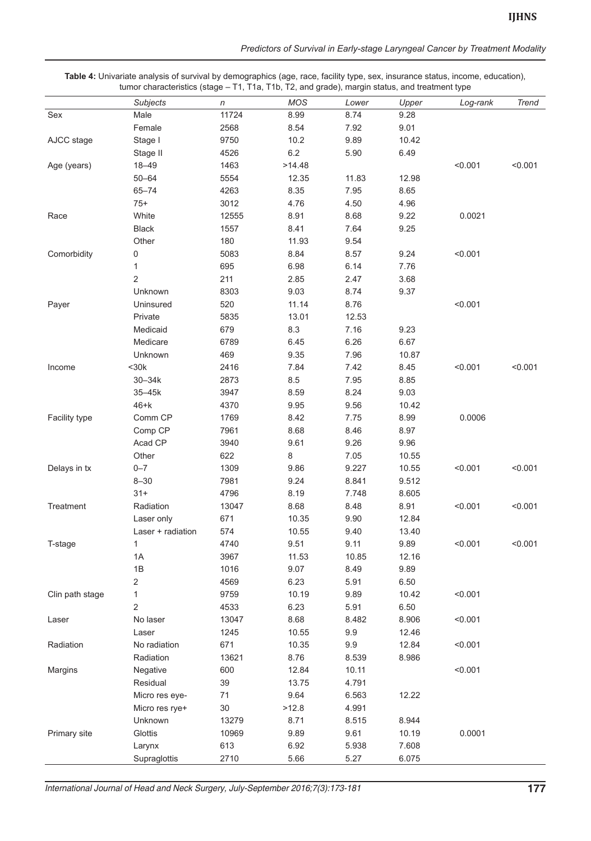**Table 4:** Univariate analysis of survival by demographics (age, race, facility type, sex, insurance status, income, education), tumor characteristics (stage – T1, T1a, T1b, T2, and grade), margin status, and treatment type

|                 | <b>Subjects</b>   | n      | <b>MOS</b> | Lower | Upper | Log-rank | <b>Trend</b> |
|-----------------|-------------------|--------|------------|-------|-------|----------|--------------|
| Sex             | Male              | 11724  | 8.99       | 8.74  | 9.28  |          |              |
|                 | Female            | 2568   | 8.54       | 7.92  | 9.01  |          |              |
| AJCC stage      | Stage I           | 9750   | 10.2       | 9.89  | 10.42 |          |              |
|                 | Stage II          | 4526   | $6.2\,$    | 5.90  | 6.49  |          |              |
| Age (years)     | 18-49             | 1463   | >14.48     |       |       | < 0.001  | < 0.001      |
|                 | $50 - 64$         | 5554   | 12.35      | 11.83 | 12.98 |          |              |
|                 | 65-74             | 4263   | 8.35       | 7.95  | 8.65  |          |              |
|                 | $75+$             | 3012   | 4.76       | 4.50  | 4.96  |          |              |
| Race            | White             | 12555  | 8.91       | 8.68  | 9.22  | 0.0021   |              |
|                 | <b>Black</b>      | 1557   | 8.41       | 7.64  | 9.25  |          |              |
|                 | Other             | 180    | 11.93      | 9.54  |       |          |              |
| Comorbidity     | 0                 | 5083   | 8.84       | 8.57  | 9.24  | < 0.001  |              |
|                 | 1                 | 695    | 6.98       | 6.14  | 7.76  |          |              |
|                 | 2                 | 211    | 2.85       | 2.47  | 3.68  |          |              |
|                 | Unknown           | 8303   | 9.03       | 8.74  | 9.37  |          |              |
| Payer           | Uninsured         | 520    | 11.14      | 8.76  |       | < 0.001  |              |
|                 | Private           | 5835   | 13.01      | 12.53 |       |          |              |
|                 | Medicaid          | 679    | 8.3        | 7.16  | 9.23  |          |              |
|                 | Medicare          | 6789   | 6.45       | 6.26  | 6.67  |          |              |
|                 | Unknown           | 469    | 9.35       | 7.96  | 10.87 |          |              |
| Income          | $30k$             | 2416   | 7.84       | 7.42  | 8.45  | < 0.001  | < 0.001      |
|                 | 30-34k            | 2873   | 8.5        | 7.95  | 8.85  |          |              |
|                 | 35-45k            | 3947   | 8.59       | 8.24  | 9.03  |          |              |
|                 | $46+k$            | 4370   | 9.95       | 9.56  | 10.42 |          |              |
| Facility type   | Comm CP           | 1769   | 8.42       | 7.75  | 8.99  | 0.0006   |              |
|                 | Comp CP           | 7961   | 8.68       | 8.46  | 8.97  |          |              |
|                 | Acad CP           | 3940   | 9.61       | 9.26  | 9.96  |          |              |
|                 | Other             | 622    | 8          | 7.05  | 10.55 |          |              |
| Delays in tx    | $0 - 7$           | 1309   | 9.86       | 9.227 | 10.55 | < 0.001  | < 0.001      |
|                 | $8 - 30$          | 7981   | 9.24       | 8.841 | 9.512 |          |              |
|                 | $31 +$            | 4796   | 8.19       | 7.748 | 8.605 |          |              |
| Treatment       | Radiation         | 13047  | 8.68       | 8.48  | 8.91  | < 0.001  | < 0.001      |
|                 | Laser only        | 671    | 10.35      | 9.90  | 12.84 |          |              |
|                 | Laser + radiation | 574    | 10.55      | 9.40  | 13.40 |          |              |
| T-stage         | 1                 | 4740   | 9.51       | 9.11  | 9.89  | < 0.001  | < 0.001      |
|                 | $1A$              | 3967   | 11.53      | 10.85 | 12.16 |          |              |
|                 | 1B                | 1016   | 9.07       | 8.49  | 9.89  |          |              |
|                 | 2                 | 4569   | 6.23       | 5.91  | 6.50  |          |              |
| Clin path stage | 1                 | 9759   | 10.19      | 9.89  | 10.42 | < 0.001  |              |
|                 | 2                 | 4533   | 6.23       | 5.91  | 6.50  |          |              |
| Laser           | No laser          | 13047  | 8.68       | 8.482 | 8.906 | < 0.001  |              |
|                 | Laser             | 1245   | 10.55      | 9.9   | 12.46 |          |              |
| Radiation       | No radiation      | 671    | 10.35      | 9.9   | 12.84 | < 0.001  |              |
|                 | Radiation         | 13621  | 8.76       | 8.539 | 8.986 |          |              |
| Margins         | Negative          | 600    | 12.84      | 10.11 |       | < 0.001  |              |
|                 | Residual          | $39\,$ | 13.75      | 4.791 |       |          |              |
|                 | Micro res eye-    | 71     | 9.64       | 6.563 | 12.22 |          |              |
|                 | Micro res rye+    | $30\,$ | >12.8      | 4.991 |       |          |              |
|                 | Unknown           | 13279  | 8.71       | 8.515 | 8.944 |          |              |
| Primary site    | Glottis           | 10969  | 9.89       | 9.61  | 10.19 | 0.0001   |              |
|                 | Larynx            | 613    | 6.92       | 5.938 | 7.608 |          |              |
|                 | Supraglottis      | 2710   | 5.66       | 5.27  | 6.075 |          |              |

*International Journal of Head and Neck Surgery, July-September 2016;7(3):173-181* **177**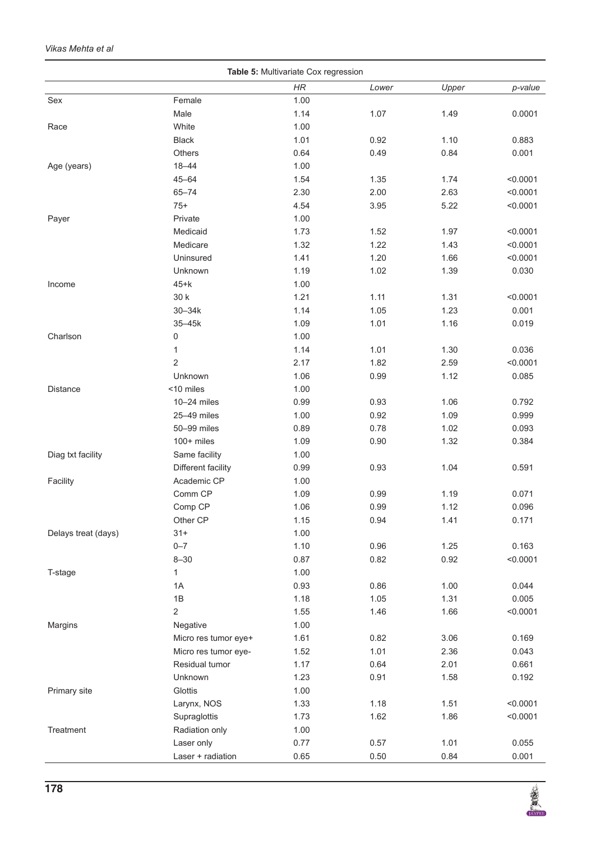|                     |                      | Table 5: Multivariate Cox regression |       |       |          |
|---------------------|----------------------|--------------------------------------|-------|-------|----------|
|                     |                      | HR                                   | Lower | Upper | p-value  |
| Sex                 | Female               | 1.00                                 |       |       |          |
|                     | Male                 | 1.14                                 | 1.07  | 1.49  | 0.0001   |
| Race                | White                | 1.00                                 |       |       |          |
|                     | <b>Black</b>         | 1.01                                 | 0.92  | 1.10  | 0.883    |
|                     | Others               | 0.64                                 | 0.49  | 0.84  | 0.001    |
| Age (years)         | $18 - 44$            | 1.00                                 |       |       |          |
|                     | $45 - 64$            | 1.54                                 | 1.35  | 1.74  | < 0.0001 |
|                     | 65-74                | 2.30                                 | 2.00  | 2.63  | < 0.0001 |
|                     | $75+$                | 4.54                                 | 3.95  | 5.22  | < 0.0001 |
| Payer               | Private              | 1.00                                 |       |       |          |
|                     | Medicaid             | 1.73                                 | 1.52  | 1.97  | < 0.0001 |
|                     | Medicare             | 1.32                                 | 1.22  | 1.43  | < 0.0001 |
|                     | Uninsured            | 1.41                                 | 1.20  | 1.66  | < 0.0001 |
|                     | Unknown              | 1.19                                 | 1.02  | 1.39  | 0.030    |
| Income              | $45+k$               | 1.00                                 |       |       |          |
|                     | 30 k                 | 1.21                                 | 1.11  | 1.31  | < 0.0001 |
|                     | $30 - 34k$           | 1.14                                 | 1.05  | 1.23  | 0.001    |
|                     | 35-45k               | 1.09                                 | 1.01  | 1.16  | 0.019    |
| Charlson            | 0                    | 1.00                                 |       |       |          |
|                     | 1                    | 1.14                                 | 1.01  | 1.30  | 0.036    |
|                     | $\overline{2}$       | 2.17                                 | 1.82  | 2.59  | < 0.0001 |
|                     | Unknown              | 1.06                                 | 0.99  | 1.12  | 0.085    |
| Distance            | <10 miles            | 1.00                                 |       |       |          |
|                     | 10-24 miles          | 0.99                                 | 0.93  | 1.06  | 0.792    |
|                     | 25-49 miles          | 1.00                                 | 0.92  | 1.09  | 0.999    |
|                     | 50-99 miles          | 0.89                                 | 0.78  | 1.02  |          |
|                     |                      |                                      |       |       | 0.093    |
|                     | $100+$ miles         | 1.09                                 | 0.90  | 1.32  | 0.384    |
| Diag txt facility   | Same facility        | 1.00                                 |       |       |          |
|                     | Different facility   | 0.99                                 | 0.93  | 1.04  | 0.591    |
| Facility            | Academic CP          | 1.00                                 |       |       |          |
|                     | Comm CP              | 1.09                                 | 0.99  | 1.19  | 0.071    |
|                     | Comp CP              | 1.06                                 | 0.99  | 1.12  | 0.096    |
|                     | Other CP             | 1.15                                 | 0.94  | 1.41  | 0.171    |
| Delays treat (days) | $31+$                | 1.00                                 |       |       |          |
|                     | $0 - 7$              | 1.10                                 | 0.96  | 1.25  | 0.163    |
|                     | $8 - 30$             | 0.87                                 | 0.82  | 0.92  | < 0.0001 |
| T-stage             | 1                    | 1.00                                 |       |       |          |
|                     | 1A                   | 0.93                                 | 0.86  | 1.00  | 0.044    |
|                     | 1B                   | 1.18                                 | 1.05  | 1.31  | 0.005    |
|                     | $\overline{2}$       | 1.55                                 | 1.46  | 1.66  | < 0.0001 |
| Margins             | Negative             | 1.00                                 |       |       |          |
|                     | Micro res tumor eye+ | 1.61                                 | 0.82  | 3.06  | 0.169    |
|                     | Micro res tumor eye- | 1.52                                 | 1.01  | 2.36  | 0.043    |
|                     | Residual tumor       | 1.17                                 | 0.64  | 2.01  | 0.661    |
|                     | Unknown              | 1.23                                 | 0.91  | 1.58  | 0.192    |
| Primary site        | Glottis              | 1.00                                 |       |       |          |
|                     | Larynx, NOS          | 1.33                                 | 1.18  | 1.51  | < 0.0001 |
|                     | Supraglottis         | 1.73                                 | 1.62  | 1.86  | < 0.0001 |
| Treatment           | Radiation only       | 1.00                                 |       |       |          |
|                     | Laser only           | 0.77                                 | 0.57  | 1.01  | 0.055    |
|                     | Laser + radiation    | 0.65                                 | 0.50  | 0.84  | 0.001    |

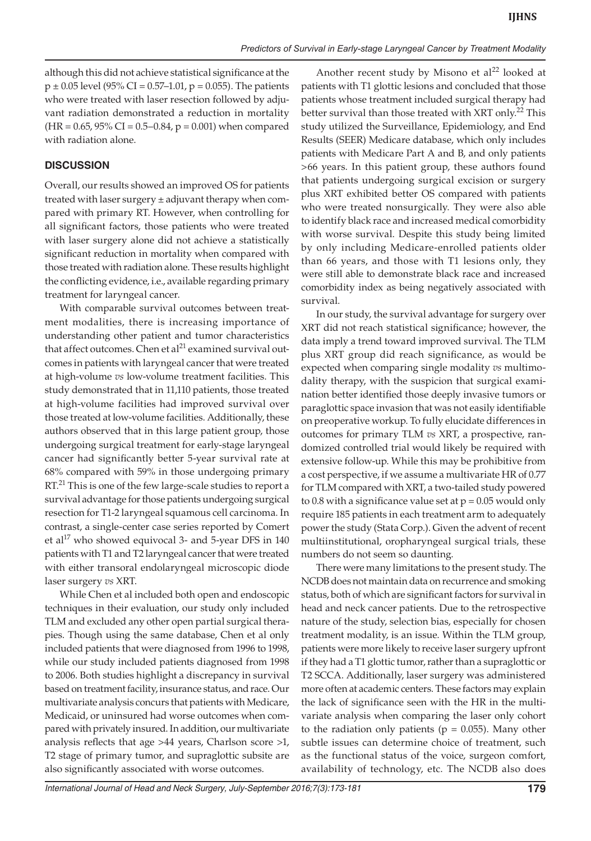although this did not achieve statistical significance at the  $p \pm 0.05$  level (95% CI = 0.57–1.01,  $p = 0.055$ ). The patients who were treated with laser resection followed by adjuvant radiation demonstrated a reduction in mortality  $(HR = 0.65, 95\% CI = 0.5 - 0.84, p = 0.001)$  when compared with radiation alone.

# **DISCUSSION**

Overall, our results showed an improved OS for patients treated with laser surgery ± adjuvant therapy when compared with primary RT. However, when controlling for all significant factors, those patients who were treated with laser surgery alone did not achieve a statistically significant reduction in mortality when compared with those treated with radiation alone. These results highlight the conflicting evidence, i.e., available regarding primary treatment for laryngeal cancer.

With comparable survival outcomes between treatment modalities, there is increasing importance of understanding other patient and tumor characteristics that affect outcomes. Chen et al<sup>21</sup> examined survival outcomes in patients with laryngeal cancer that were treated at high-volume *vs* low-volume treatment facilities. This study demonstrated that in 11,110 patients, those treated at high-volume facilities had improved survival over those treated at low-volume facilities. Additionally, these authors observed that in this large patient group, those undergoing surgical treatment for early-stage laryngeal cancer had significantly better 5-year survival rate at 68% compared with 59% in those undergoing primary  $RT<sup>21</sup>$  This is one of the few large-scale studies to report a survival advantage for those patients undergoing surgical resection for T1-2 laryngeal squamous cell carcinoma. In contrast, a single-center case series reported by Comert et al $^{17}$  who showed equivocal 3- and 5-year DFS in 140 patients with T1 and T2 laryngeal cancer that were treated with either transoral endolaryngeal microscopic diode laser surgery *vs* XRT.

While Chen et al included both open and endoscopic techniques in their evaluation, our study only included TLM and excluded any other open partial surgical therapies. Though using the same database, Chen et al only included patients that were diagnosed from 1996 to 1998, while our study included patients diagnosed from 1998 to 2006. Both studies highlight a discrepancy in survival based on treatment facility, insurance status, and race. Our multivariate analysis concurs that patients with Medicare, Medicaid, or uninsured had worse outcomes when compared with privately insured. In addition, our multivariate analysis reflects that age >44 years, Charlson score >1, T2 stage of primary tumor, and supraglottic subsite are also significantly associated with worse outcomes.

Another recent study by Misono et  $al<sup>22</sup>$  looked at patients with T1 glottic lesions and concluded that those patients whose treatment included surgical therapy had better survival than those treated with XRT only.<sup>22</sup> This study utilized the Surveillance, Epidemiology, and End Results (SEER) Medicare database, which only includes patients with Medicare Part A and B, and only patients >66 years. In this patient group, these authors found that patients undergoing surgical excision or surgery plus XRT exhibited better OS compared with patients who were treated nonsurgically. They were also able to identify black race and increased medical comorbidity with worse survival. Despite this study being limited by only including Medicare-enrolled patients older than 66 years, and those with T1 lesions only, they were still able to demonstrate black race and increased comorbidity index as being negatively associated with survival.

In our study, the survival advantage for surgery over XRT did not reach statistical significance; however, the data imply a trend toward improved survival. The TLM plus XRT group did reach significance, as would be expected when comparing single modality *vs* multimodality therapy, with the suspicion that surgical examination better identified those deeply invasive tumors or paraglottic space invasion that was not easily identifiable on preoperative workup. To fully elucidate differences in outcomes for primary TLM *vs* XRT, a prospective, randomized controlled trial would likely be required with extensive follow-up. While this may be prohibitive from a cost perspective, if we assume a multivariate HR of 0.77 for TLM compared with XRT, a two-tailed study powered to 0.8 with a significance value set at  $p = 0.05$  would only require 185 patients in each treatment arm to adequately power the study (Stata Corp.). Given the advent of recent multiinstitutional, oropharyngeal surgical trials, these numbers do not seem so daunting.

There were many limitations to the present study. The NCDB does not maintain data on recurrence and smoking status, both of which are significant factors for survival in head and neck cancer patients. Due to the retrospective nature of the study, selection bias, especially for chosen treatment modality, is an issue. Within the TLM group, patients were more likely to receive laser surgery upfront if they had a T1 glottic tumor, rather than a supraglottic or T2 SCCA. Additionally, laser surgery was administered more often at academic centers. These factors may explain the lack of significance seen with the HR in the multivariate analysis when comparing the laser only cohort to the radiation only patients ( $p = 0.055$ ). Many other subtle issues can determine choice of treatment, such as the functional status of the voice, surgeon comfort, availability of technology, etc. The NCDB also does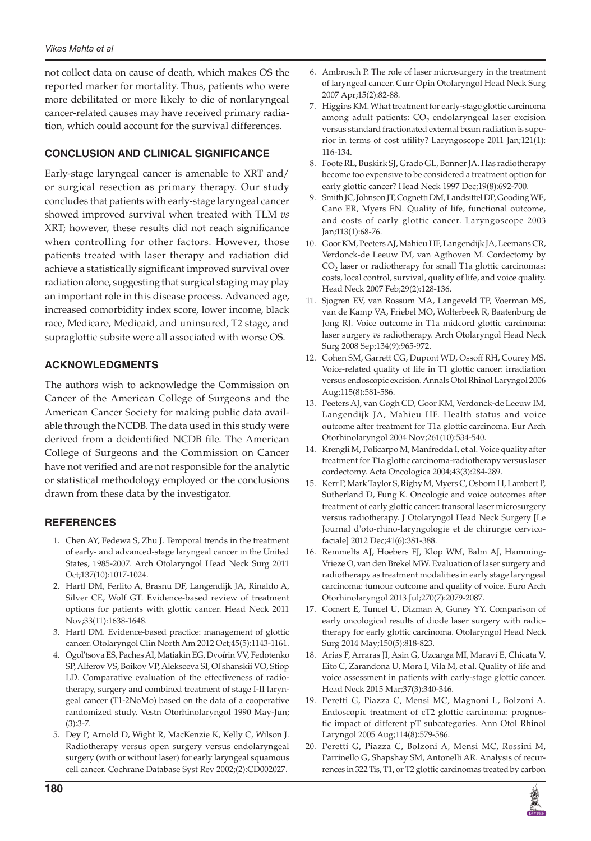not collect data on cause of death, which makes OS the reported marker for mortality. Thus, patients who were more debilitated or more likely to die of nonlaryngeal cancer-related causes may have received primary radiation, which could account for the survival differences.

#### **CONCLUSION AND CLINICAL SIGNIFICANCE**

Early-stage laryngeal cancer is amenable to XRT and/ or surgical resection as primary therapy. Our study concludes that patients with early-stage laryngeal cancer showed improved survival when treated with TLM *vs* XRT; however, these results did not reach significance when controlling for other factors. However, those patients treated with laser therapy and radiation did achieve a statistically significant improved survival over radiation alone, suggesting that surgical staging may play an important role in this disease process. Advanced age, increased comorbidity index score, lower income, black race, Medicare, Medicaid, and uninsured, T2 stage, and supraglottic subsite were all associated with worse OS.

#### **ACKNOWLEDGMENTS**

The authors wish to acknowledge the Commission on Cancer of the American College of Surgeons and the American Cancer Society for making public data available through the NCDB. The data used in this study were derived from a deidentified NCDB file. The American College of Surgeons and the Commission on Cancer have not verified and are not responsible for the analytic or statistical methodology employed or the conclusions drawn from these data by the investigator.

# **REFERENCES**

- 1. Chen AY, Fedewa S, Zhu J. Temporal trends in the treatment of early- and advanced-stage laryngeal cancer in the United States, 1985-2007. Arch Otolaryngol Head Neck Surg 2011 Oct;137(10):1017-1024.
- 2. Hartl DM, Ferlito A, Brasnu DF, Langendijk JA, Rinaldo A, Silver CE, Wolf GT. Evidence-based review of treatment options for patients with glottic cancer. Head Neck 2011 Nov;33(11):1638-1648.
- 3. Hartl DM. Evidence-based practice: management of glottic cancer. Otolaryngol Clin North Am 2012 Oct;45(5):1143-1161.
- 4. Ogol'tsova ES, Paches AI, Matiakin EG, Dvoírin VV, Fedotenko SP, Alferov VS, Boikov VP, Alekseeva SI, Ol'shanskii VO, Stiop LD. Comparative evaluation of the effectiveness of radiotherapy, surgery and combined treatment of stage I-II laryngeal cancer (T1-2NoMo) based on the data of a cooperative randomized study. Vestn Otorhinolaryngol 1990 May-Jun;  $(3):3-7.$
- 5. Dey P, Arnold D, Wight R, MacKenzie K, Kelly C, Wilson J. Radiotherapy versus open surgery versus endolaryngeal surgery (with or without laser) for early laryngeal squamous cell cancer. Cochrane Database Syst Rev 2002;(2):CD002027.
- 6. Ambrosch P. The role of laser microsurgery in the treatment of laryngeal cancer. Curr Opin Otolaryngol Head Neck Surg 2007 Apr;15(2):82-88.
- 7. Higgins KM. What treatment for early-stage glottic carcinoma among adult patients:  $CO<sub>2</sub>$  endolaryngeal laser excision versus standard fractionated external beam radiation is superior in terms of cost utility? Laryngoscope 2011 Jan;121(1): 116-134.
- 8. Foote RL, Buskirk SJ, Grado GL, Bonner JA. Has radiotherapy become too expensive to be considered a treatment option for early glottic cancer? Head Neck 1997 Dec;19(8):692-700.
- 9. Smith JC, Johnson JT, Cognetti DM, Landsittel DP, Gooding WE, Cano ER, Myers EN. Quality of life, functional outcome, and costs of early glottic cancer. Laryngoscope 2003 Jan;113(1):68-76.
- 10. Goor KM, Peeters AJ, Mahieu HF, Langendijk JA, Leemans CR, Verdonck-de Leeuw IM, van Agthoven M. Cordectomy by  $CO<sub>2</sub>$  laser or radiotherapy for small T1a glottic carcinomas: costs, local control, survival, quality of life, and voice quality. Head Neck 2007 Feb;29(2):128-136.
- 11. Sjogren EV, van Rossum MA, Langeveld TP, Voerman MS, van de Kamp VA, Friebel MO, Wolterbeek R, Baatenburg de Jong RJ. Voice outcome in T1a midcord glottic carcinoma: laser surgery *vs* radiotherapy. Arch Otolaryngol Head Neck Surg 2008 Sep;134(9):965-972.
- 12. Cohen SM, Garrett CG, Dupont WD, Ossoff RH, Courey MS. Voice-related quality of life in T1 glottic cancer: irradiation versus endoscopic excision. Annals Otol Rhinol Laryngol 2006 Aug;115(8):581-586.
- 13. Peeters AJ, van Gogh CD, Goor KM, Verdonck-de Leeuw IM, Langendijk JA, Mahieu HF. Health status and voice outcome after treatment for T1a glottic carcinoma. Eur Arch Otorhinolaryngol 2004 Nov;261(10):534-540.
- 14. Krengli M, Policarpo M, Manfredda I, et al. Voice quality after treatment for T1a glottic carcinoma-radiotherapy versus laser cordectomy. Acta Oncologica 2004;43(3):284-289.
- 15. Kerr P, Mark Taylor S, Rigby M, Myers C, Osborn H, Lambert P, Sutherland D, Fung K. Oncologic and voice outcomes after treatment of early glottic cancer: transoral laser microsurgery versus radiotherapy. J Otolaryngol Head Neck Surgery [Le Journal d'oto-rhino-laryngologie et de chirurgie cervicofaciale] 2012 Dec;41(6):381-388.
- 16. Remmelts AJ, Hoebers FJ, Klop WM, Balm AJ, Hamming-Vrieze O, van den Brekel MW. Evaluation of laser surgery and radiotherapy as treatment modalities in early stage laryngeal carcinoma: tumour outcome and quality of voice. Euro Arch Otorhinolaryngol 2013 Jul;270(7):2079-2087.
- 17. Comert E, Tuncel U, Dizman A, Guney YY. Comparison of early oncological results of diode laser surgery with radiotherapy for early glottic carcinoma. Otolaryngol Head Neck Surg 2014 May;150(5):818-823.
- 18. Arias F, Arraras JI, Asin G, Uzcanga MI, Maraví E, Chicata V, Eito C, Zarandona U, Mora I, Vila M, et al. Quality of life and voice assessment in patients with early-stage glottic cancer. Head Neck 2015 Mar;37(3):340-346.
- 19. Peretti G, Piazza C, Mensi MC, Magnoni L, Bolzoni A. Endoscopic treatment of cT2 glottic carcinoma: prognostic impact of different pT subcategories. Ann Otol Rhinol Laryngol 2005 Aug;114(8):579-586.
- 20. Peretti G, Piazza C, Bolzoni A, Mensi MC, Rossini M, Parrinello G, Shapshay SM, Antonelli AR. Analysis of recurrences in 322 Tis, T1, or T2 glottic carcinomas treated by carbon